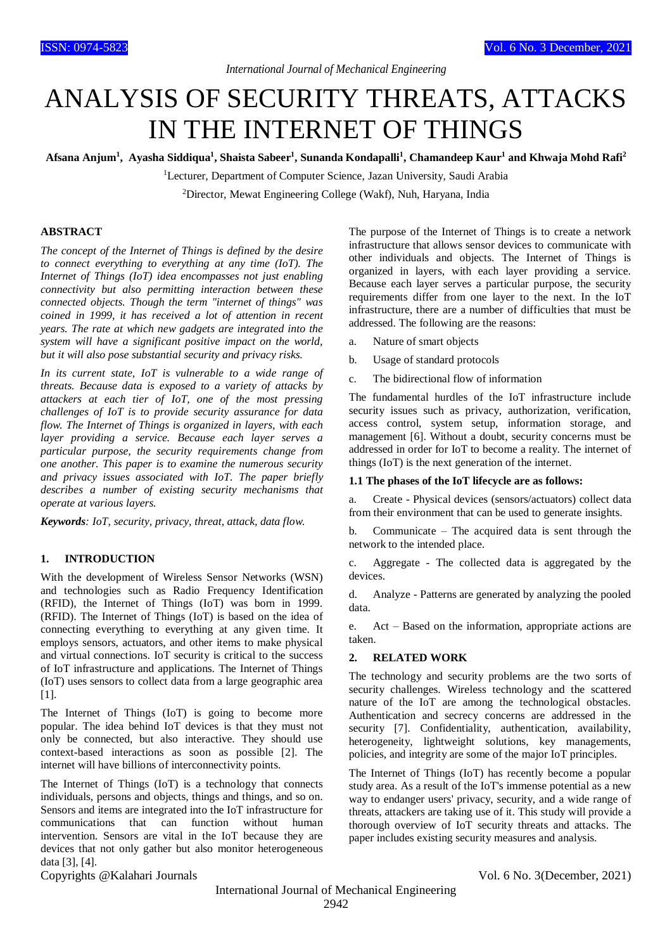# ANALYSIS OF SECURITY THREATS, ATTACKS IN THE INTERNET OF THINGS

**Afsana Anjum<sup>1</sup> , Ayasha Siddiqua<sup>1</sup> , Shaista Sabeer<sup>1</sup> , Sunanda Kondapalli<sup>1</sup> , Chamandeep Kaur<sup>1</sup> and Khwaja Mohd Rafi<sup>2</sup>**

<sup>1</sup>Lecturer, Department of Computer Science, Jazan University, Saudi Arabia

<sup>2</sup>Director, Mewat Engineering College (Wakf), Nuh, Haryana, India

#### **ABSTRACT**

*The concept of the Internet of Things is defined by the desire to connect everything to everything at any time (IoT). The Internet of Things (IoT) idea encompasses not just enabling connectivity but also permitting interaction between these connected objects. Though the term "internet of things" was coined in 1999, it has received a lot of attention in recent years. The rate at which new gadgets are integrated into the system will have a significant positive impact on the world, but it will also pose substantial security and privacy risks.*

*In its current state, IoT is vulnerable to a wide range of threats. Because data is exposed to a variety of attacks by attackers at each tier of IoT, one of the most pressing challenges of IoT is to provide security assurance for data flow. The Internet of Things is organized in layers, with each layer providing a service. Because each layer serves a particular purpose, the security requirements change from one another. This paper is to examine the numerous security and privacy issues associated with IoT. The paper briefly describes a number of existing security mechanisms that operate at various layers.*

*Keywords: IoT, security, privacy, threat, attack, data flow.*

# **1. INTRODUCTION**

With the development of Wireless Sensor Networks (WSN) and technologies such as Radio Frequency Identification (RFID), the Internet of Things (IoT) was born in 1999. (RFID). The Internet of Things (IoT) is based on the idea of connecting everything to everything at any given time. It employs sensors, actuators, and other items to make physical and virtual connections. IoT security is critical to the success of IoT infrastructure and applications. The Internet of Things (IoT) uses sensors to collect data from a large geographic area [1].

The Internet of Things (IoT) is going to become more popular. The idea behind IoT devices is that they must not only be connected, but also interactive. They should use context-based interactions as soon as possible [2]. The internet will have billions of interconnectivity points.

The Internet of Things (IoT) is a technology that connects individuals, persons and objects, things and things, and so on. Sensors and items are integrated into the IoT infrastructure for communications that can function without human intervention. Sensors are vital in the IoT because they are devices that not only gather but also monitor heterogeneous data [3], [4].

The purpose of the Internet of Things is to create a network infrastructure that allows sensor devices to communicate with other individuals and objects. The Internet of Things is organized in layers, with each layer providing a service. Because each layer serves a particular purpose, the security requirements differ from one layer to the next. In the IoT infrastructure, there are a number of difficulties that must be addressed. The following are the reasons:

- a. Nature of smart objects
- b. Usage of standard protocols
- c. The bidirectional flow of information

The fundamental hurdles of the IoT infrastructure include security issues such as privacy, authorization, verification, access control, system setup, information storage, and management [6]. Without a doubt, security concerns must be addressed in order for IoT to become a reality. The internet of things (IoT) is the next generation of the internet.

#### **1.1 The phases of the IoT lifecycle are as follows:**

a. Create - Physical devices (sensors/actuators) collect data from their environment that can be used to generate insights.

b. Communicate – The acquired data is sent through the network to the intended place.

c. Aggregate - The collected data is aggregated by the devices.

d. Analyze - Patterns are generated by analyzing the pooled data.

e. Act – Based on the information, appropriate actions are taken.

### **2. RELATED WORK**

The technology and security problems are the two sorts of security challenges. Wireless technology and the scattered nature of the IoT are among the technological obstacles. Authentication and secrecy concerns are addressed in the security [7]. Confidentiality, authentication, availability, heterogeneity, lightweight solutions, key managements, policies, and integrity are some of the major IoT principles.

The Internet of Things (IoT) has recently become a popular study area. As a result of the IoT's immense potential as a new way to endanger users' privacy, security, and a wide range of threats, attackers are taking use of it. This study will provide a thorough overview of IoT security threats and attacks. The paper includes existing security measures and analysis.

Copyrights @Kalahari Journals Vol. 6 No. 3(December, 2021)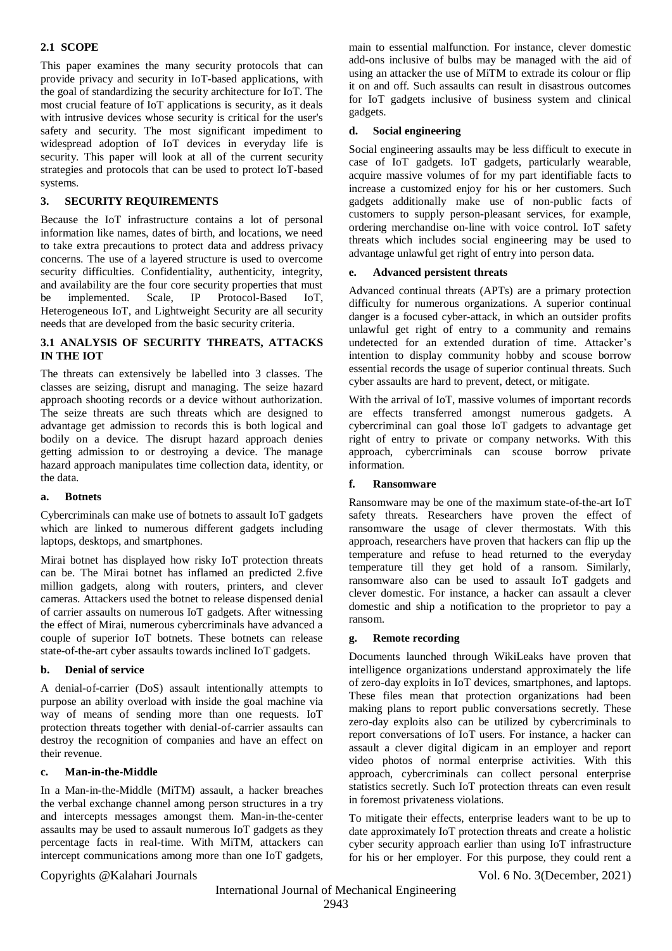# **2.1 SCOPE**

This paper examines the many security protocols that can provide privacy and security in IoT-based applications, with the goal of standardizing the security architecture for IoT. The most crucial feature of IoT applications is security, as it deals with intrusive devices whose security is critical for the user's safety and security. The most significant impediment to widespread adoption of IoT devices in everyday life is security. This paper will look at all of the current security strategies and protocols that can be used to protect IoT-based systems.

# **3. SECURITY REQUIREMENTS**

Because the IoT infrastructure contains a lot of personal information like names, dates of birth, and locations, we need to take extra precautions to protect data and address privacy concerns. The use of a layered structure is used to overcome security difficulties. Confidentiality, authenticity, integrity, and availability are the four core security properties that must be implemented. Scale, IP Protocol-Based IoT, Heterogeneous IoT, and Lightweight Security are all security needs that are developed from the basic security criteria.

# **3.1 ANALYSIS OF SECURITY THREATS, ATTACKS IN THE IOT**

The threats can extensively be labelled into 3 classes. The classes are seizing, disrupt and managing. The seize hazard approach shooting records or a device without authorization. The seize threats are such threats which are designed to advantage get admission to records this is both logical and bodily on a device. The disrupt hazard approach denies getting admission to or destroying a device. The manage hazard approach manipulates time collection data, identity, or the data.

# **a. Botnets**

Cybercriminals can make use of botnets to assault IoT gadgets which are linked to numerous different gadgets including laptops, desktops, and smartphones.

Mirai botnet has displayed how risky IoT protection threats can be. The Mirai botnet has inflamed an predicted 2.five million gadgets, along with routers, printers, and clever cameras. Attackers used the botnet to release dispensed denial of carrier assaults on numerous IoT gadgets. After witnessing the effect of Mirai, numerous cybercriminals have advanced a couple of superior IoT botnets. These botnets can release state-of-the-art cyber assaults towards inclined IoT gadgets.

# **b. Denial of service**

A denial-of-carrier (DoS) assault intentionally attempts to purpose an ability overload with inside the goal machine via way of means of sending more than one requests. IoT protection threats together with denial-of-carrier assaults can destroy the recognition of companies and have an effect on their revenue.

# **c. Man-in-the-Middle**

In a Man-in-the-Middle (MiTM) assault, a hacker breaches the verbal exchange channel among person structures in a try and intercepts messages amongst them. Man-in-the-center assaults may be used to assault numerous IoT gadgets as they percentage facts in real-time. With MiTM, attackers can intercept communications among more than one IoT gadgets,

main to essential malfunction. For instance, clever domestic add-ons inclusive of bulbs may be managed with the aid of using an attacker the use of MiTM to extrade its colour or flip it on and off. Such assaults can result in disastrous outcomes for IoT gadgets inclusive of business system and clinical gadgets.

### **d. Social engineering**

Social engineering assaults may be less difficult to execute in case of IoT gadgets. IoT gadgets, particularly wearable, acquire massive volumes of for my part identifiable facts to increase a customized enjoy for his or her customers. Such gadgets additionally make use of non-public facts of customers to supply person-pleasant services, for example, ordering merchandise on-line with voice control. IoT safety threats which includes social engineering may be used to advantage unlawful get right of entry into person data.

#### **e. Advanced persistent threats**

Advanced continual threats (APTs) are a primary protection difficulty for numerous organizations. A superior continual danger is a focused cyber-attack, in which an outsider profits unlawful get right of entry to a community and remains undetected for an extended duration of time. Attacker's intention to display community hobby and scouse borrow essential records the usage of superior continual threats. Such cyber assaults are hard to prevent, detect, or mitigate.

With the arrival of IoT, massive volumes of important records are effects transferred amongst numerous gadgets. A cybercriminal can goal those IoT gadgets to advantage get right of entry to private or company networks. With this approach, cybercriminals can scouse borrow private information.

# **f. Ransomware**

Ransomware may be one of the maximum state-of-the-art IoT safety threats. Researchers have proven the effect of ransomware the usage of clever thermostats. With this approach, researchers have proven that hackers can flip up the temperature and refuse to head returned to the everyday temperature till they get hold of a ransom. Similarly, ransomware also can be used to assault IoT gadgets and clever domestic. For instance, a hacker can assault a clever domestic and ship a notification to the proprietor to pay a ransom.

# **g. Remote recording**

Documents launched through WikiLeaks have proven that intelligence organizations understand approximately the life of zero-day exploits in IoT devices, smartphones, and laptops. These files mean that protection organizations had been making plans to report public conversations secretly. These zero-day exploits also can be utilized by cybercriminals to report conversations of IoT users. For instance, a hacker can assault a clever digital digicam in an employer and report video photos of normal enterprise activities. With this approach, cybercriminals can collect personal enterprise statistics secretly. Such IoT protection threats can even result in foremost privateness violations.

To mitigate their effects, enterprise leaders want to be up to date approximately IoT protection threats and create a holistic cyber security approach earlier than using IoT infrastructure for his or her employer. For this purpose, they could rent a

Copyrights @Kalahari Journals Vol. 6 No. 3(December, 2021)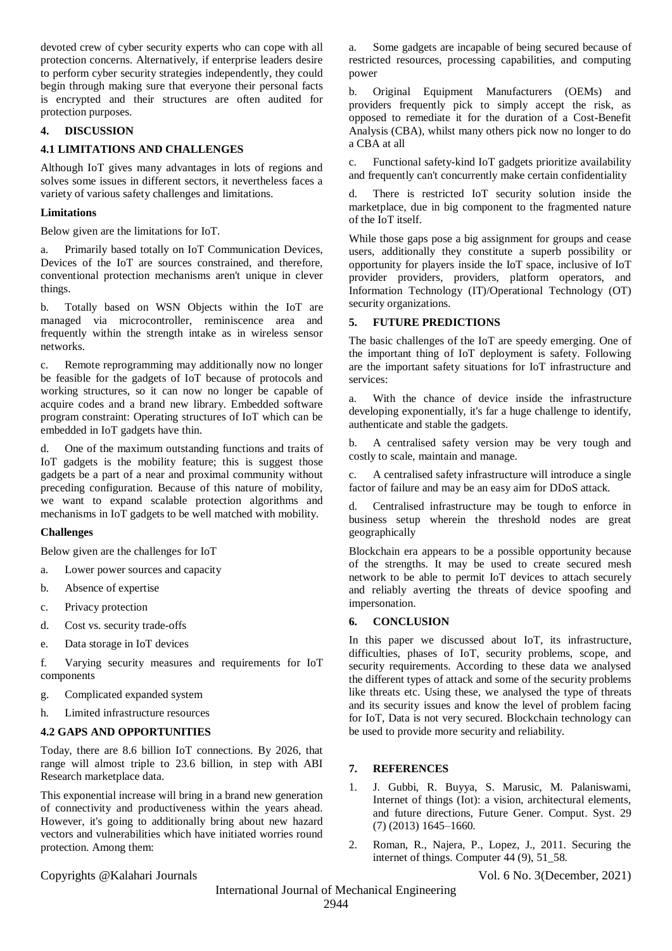devoted crew of cyber security experts who can cope with all protection concerns. Alternatively, if enterprise leaders desire to perform cyber security strategies independently, they could begin through making sure that everyone their personal facts is encrypted and their structures are often audited for protection purposes.

# **4. DISCUSSION**

# **4.1 LIMITATIONS AND CHALLENGES**

Although IoT gives many advantages in lots of regions and solves some issues in different sectors, it nevertheless faces a variety of various safety challenges and limitations.

### **Limitations**

Below given are the limitations for IoT.

Primarily based totally on IoT Communication Devices, Devices of the IoT are sources constrained, and therefore, conventional protection mechanisms aren't unique in clever things.

b. Totally based on WSN Objects within the IoT are managed via microcontroller, reminiscence area and frequently within the strength intake as in wireless sensor networks.

c. Remote reprogramming may additionally now no longer be feasible for the gadgets of IoT because of protocols and working structures, so it can now no longer be capable of acquire codes and a brand new library. Embedded software program constraint: Operating structures of IoT which can be embedded in IoT gadgets have thin.

d. One of the maximum outstanding functions and traits of IoT gadgets is the mobility feature; this is suggest those gadgets be a part of a near and proximal community without preceding configuration. Because of this nature of mobility, we want to expand scalable protection algorithms and mechanisms in IoT gadgets to be well matched with mobility.

# **Challenges**

Below given are the challenges for IoT

- a. Lower power sources and capacity
- b. Absence of expertise
- c. Privacy protection
- d. Cost vs. security trade-offs
- e. Data storage in IoT devices
- f. Varying security measures and requirements for IoT components
- g. Complicated expanded system
- h. Limited infrastructure resources

# **4.2 GAPS AND OPPORTUNITIES**

Today, there are 8.6 billion IoT connections. By 2026, that range will almost triple to 23.6 billion, in step with ABI Research marketplace data.

This exponential increase will bring in a brand new generation of connectivity and productiveness within the years ahead. However, it's going to additionally bring about new hazard vectors and vulnerabilities which have initiated worries round protection. Among them:

Copyrights @Kalahari Journals Vol. 6 No. 3(December, 2021)

a. Some gadgets are incapable of being secured because of restricted resources, processing capabilities, and computing power

b. Original Equipment Manufacturers (OEMs) and providers frequently pick to simply accept the risk, as opposed to remediate it for the duration of a Cost-Benefit Analysis (CBA), whilst many others pick now no longer to do a CBA at all

c. Functional safety-kind IoT gadgets prioritize availability and frequently can't concurrently make certain confidentiality

d. There is restricted IoT security solution inside the marketplace, due in big component to the fragmented nature of the IoT itself.

While those gaps pose a big assignment for groups and cease users, additionally they constitute a superb possibility or opportunity for players inside the IoT space, inclusive of IoT provider providers, providers, platform operators, and Information Technology (IT)/Operational Technology (OT) security organizations.

# **5. FUTURE PREDICTIONS**

The basic challenges of the IoT are speedy emerging. One of the important thing of IoT deployment is safety. Following are the important safety situations for IoT infrastructure and services:

a. With the chance of device inside the infrastructure developing exponentially, it's far a huge challenge to identify, authenticate and stable the gadgets.

b. A centralised safety version may be very tough and costly to scale, maintain and manage.

c. A centralised safety infrastructure will introduce a single factor of failure and may be an easy aim for DDoS attack.

Centralised infrastructure may be tough to enforce in business setup wherein the threshold nodes are great geographically

Blockchain era appears to be a possible opportunity because of the strengths. It may be used to create secured mesh network to be able to permit IoT devices to attach securely and reliably averting the threats of device spoofing and impersonation.

# **6. CONCLUSION**

In this paper we discussed about IoT, its infrastructure, difficulties, phases of IoT, security problems, scope, and security requirements. According to these data we analysed the different types of attack and some of the security problems like threats etc. Using these, we analysed the type of threats and its security issues and know the level of problem facing for IoT, Data is not very secured. Blockchain technology can be used to provide more security and reliability.

# **7. REFERENCES**

- 1. J. Gubbi, R. Buyya, S. Marusic, M. Palaniswami, Internet of things (Iot): a vision, architectural elements, and future directions, Future Gener. Comput. Syst. 29 (7) (2013) 1645–1660.
- 2. Roman, R., Najera, P., Lopez, J., 2011. Securing the internet of things. Computer 44 (9), 51\_58.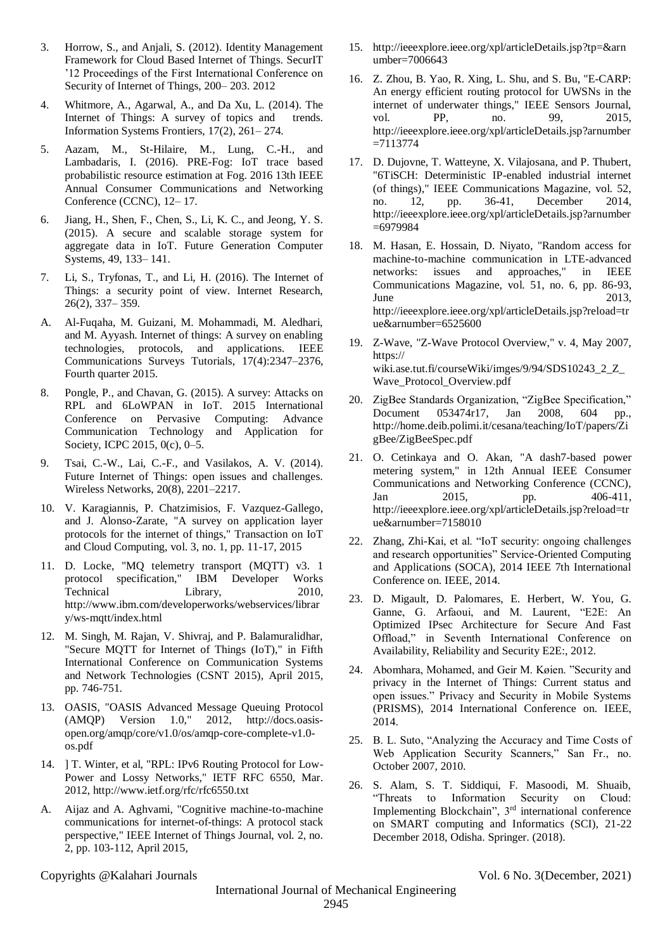- 3. Horrow, S., and Anjali, S. (2012). Identity Management Framework for Cloud Based Internet of Things. SecurIT '12 Proceedings of the First International Conference on Security of Internet of Things, 200– 203. 2012
- 4. Whitmore, A., Agarwal, A., and Da Xu, L. (2014). The Internet of Things: A survey of topics and trends. Information Systems Frontiers, 17(2), 261– 274.
- 5. Aazam, M., St-Hilaire, M., Lung, C.-H., and Lambadaris, I. (2016). PRE-Fog: IoT trace based probabilistic resource estimation at Fog. 2016 13th IEEE Annual Consumer Communications and Networking Conference (CCNC), 12– 17.
- 6. Jiang, H., Shen, F., Chen, S., Li, K. C., and Jeong, Y. S. (2015). A secure and scalable storage system for aggregate data in IoT. Future Generation Computer Systems, 49, 133– 141.
- 7. Li, S., Tryfonas, T., and Li, H. (2016). The Internet of Things: a security point of view. Internet Research, 26(2), 337– 359.
- A. Al-Fuqaha, M. Guizani, M. Mohammadi, M. Aledhari, and M. Ayyash. Internet of things: A survey on enabling technologies, protocols, and applications. IEEE Communications Surveys Tutorials, 17(4):2347–2376, Fourth quarter 2015.
- 8. Pongle, P., and Chavan, G. (2015). A survey: Attacks on RPL and 6LoWPAN in IoT. 2015 International Conference on Pervasive Computing: Advance Communication Technology and Application for Society, ICPC 2015, 0(c), 0–5.
- 9. Tsai, C.-W., Lai, C.-F., and Vasilakos, A. V. (2014). Future Internet of Things: open issues and challenges. Wireless Networks, 20(8), 2201–2217.
- 10. V. Karagiannis, P. Chatzimisios, F. Vazquez-Gallego, and J. Alonso-Zarate, "A survey on application layer protocols for the internet of things," Transaction on IoT and Cloud Computing, vol. 3, no. 1, pp. 11-17, 2015
- 11. D. Locke, "MQ telemetry transport (MQTT) v3. 1 protocol specification," IBM Developer Works Technical Library, 2010, [http://www.ibm.com/developerworks/webservices/librar](http://www.ibm.com/developerworks/webservices/library/ws-mqtt/index.html) [y/ws-mqtt/index.html](http://www.ibm.com/developerworks/webservices/library/ws-mqtt/index.html)
- 12. M. Singh, M. Rajan, V. Shivraj, and P. Balamuralidhar, "Secure MQTT for Internet of Things (IoT)," in Fifth International Conference on Communication Systems and Network Technologies (CSNT 2015), April 2015, pp. 746-751.
- 13. OASIS, "OASIS Advanced Message Queuing Protocol (AMQP) Version 1.0," 2012, http://docs.oasisopen.org/amqp/core/v1.0/os/amqp-core-complete-v1.0 os.pdf
- 14. ] T. Winter, et al, "RPL: IPv6 Routing Protocol for Low-Power and Lossy Networks," IETF RFC 6550, Mar. 2012, http://www.ietf.org/rfc/rfc6550.txt
- A. Aijaz and A. Aghvami, "Cognitive machine-to-machine communications for internet-of-things: A protocol stack perspective," IEEE Internet of Things Journal, vol. 2, no. 2, pp. 103-112, April 2015,
- 15. http://ieeexplore.ieee.org/xpl/articleDetails.jsp?tp=&arn umber=7006643
- 16. Z. Zhou, B. Yao, R. Xing, L. Shu, and S. Bu, "E-CARP: An energy efficient routing protocol for UWSNs in the internet of underwater things," IEEE Sensors Journal, vol. PP, no. 99, 2015, http://ieeexplore.ieee.org/xpl/articleDetails.jsp?arnumber =7113774
- 17. D. Dujovne, T. Watteyne, X. Vilajosana, and P. Thubert, "6TiSCH: Deterministic IP-enabled industrial internet (of things)," IEEE Communications Magazine, vol. 52, no. 12, pp. 36-41, December 2014, http://ieeexplore.ieee.org/xpl/articleDetails.jsp?arnumber =6979984
- 18. M. Hasan, E. Hossain, D. Niyato, "Random access for machine-to-machine communication in LTE-advanced networks: issues and approaches," in IEEE Communications Magazine, vol. 51, no. 6, pp. 86-93, June  $2013$ , [http://ieeexplore.ieee.org/xpl/articleDetails.jsp?reload=tr](http://ieeexplore.ieee.org/xpl/articleDetails.jsp?reload=true&arnumber=6525600) [ue&arnumber=6525600](http://ieeexplore.ieee.org/xpl/articleDetails.jsp?reload=true&arnumber=6525600)
- 19. Z-Wave, "Z-Wave Protocol Overview," v. 4, May 2007, https:// wiki.ase.tut.fi/courseWiki/imges/9/94/SDS10243\_2\_Z\_ Wave\_Protocol\_Overview.pdf
- 20. ZigBee Standards Organization, "ZigBee Specification," Document 053474r17, Jan 2008, 604 pp., [http://home.deib.polimi.it/cesana/teaching/IoT/papers/Zi](http://home.deib.polimi.it/cesana/teaching/IoT/papers/ZigBee/ZigBeeSpec.pdf) [gBee/ZigBeeSpec.pdf](http://home.deib.polimi.it/cesana/teaching/IoT/papers/ZigBee/ZigBeeSpec.pdf)
- 21. O. Cetinkaya and O. Akan, "A dash7-based power metering system," in 12th Annual IEEE Consumer Communications and Networking Conference (CCNC), Jan 2015, pp. 406-411, [http://ieeexplore.ieee.org/xpl/articleDetails.jsp?reload=tr](http://ieeexplore.ieee.org/xpl/articleDetails.jsp?reload=true&arnumber=7158010) [ue&arnumber=7158010](http://ieeexplore.ieee.org/xpl/articleDetails.jsp?reload=true&arnumber=7158010)
- 22. Zhang, Zhi-Kai, et al. "IoT security: ongoing challenges and research opportunities" Service-Oriented Computing and Applications (SOCA), 2014 IEEE 7th International Conference on. IEEE, 2014.
- 23. D. Migault, D. Palomares, E. Herbert, W. You, G. Ganne, G. Arfaoui, and M. Laurent, "E2E: An Optimized IPsec Architecture for Secure And Fast Offload," in Seventh International Conference on Availability, Reliability and Security E2E:, 2012.
- 24. Abomhara, Mohamed, and Geir M. Køien. "Security and privacy in the Internet of Things: Current status and open issues." Privacy and Security in Mobile Systems (PRISMS), 2014 International Conference on. IEEE, 2014.
- 25. B. L. Suto, "Analyzing the Accuracy and Time Costs of Web Application Security Scanners," San Fr., no. October 2007, 2010.
- 26. S. Alam, S. T. Siddiqui, F. Masoodi, M. Shuaib, "Threats to Information Security on Cloud: Implementing Blockchain", 3rd international conference on SMART computing and Informatics (SCI), 21-22 December 2018, Odisha. Springer. (2018).

Copyrights @Kalahari Journals Vol. 6 No. 3(December, 2021)